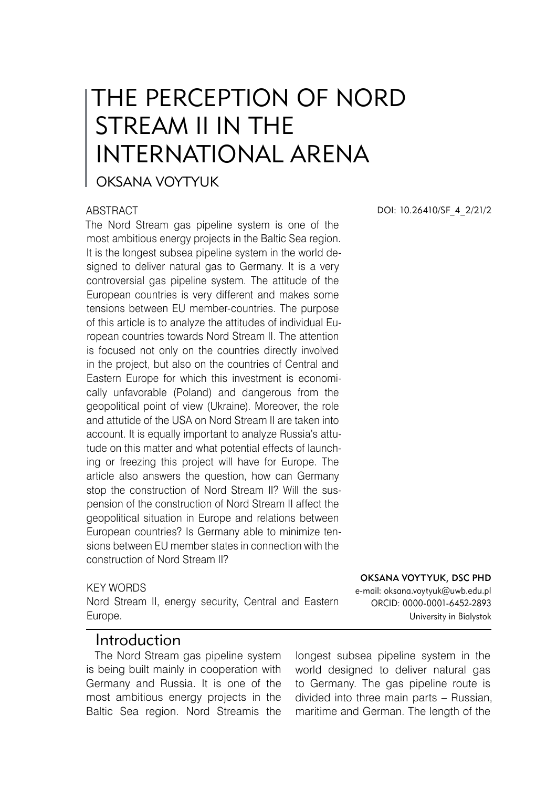# THE PERCEPTION OF NORD STREAM II IN THE INTERNATIONAL ARENA

### OKSANA VOYTYUK

#### **ABSTRACT**

The Nord Stream gas pipeline system is one of the most ambitious energy projects in the Baltic Sea region. It is the longest subsea pipeline system in the world designed to deliver natural gas to Germany. It is a very controversial gas pipeline system. The attitude of the European countries is very different and makes some tensions between EU member-countries. The purpose of this article is to analyze the attitudes of individual European countries towards Nord Stream II. The attention is focused not only on the countries directly involved in the project, but also on the countries of Central and Eastern Europe for which this investment is economically unfavorable (Poland) and dangerous from the geopolitical point of view (Ukraine). Moreover, the role and attutide of the USA on Nord Stream II are taken into account. It is equally important to analyze Russia's attutude on this matter and what potential effects of launching or freezing this project will have for Europe. The article also answers the question, how can Germany stop the construction of Nord Stream II? Will the suspension of the construction of Nord Stream II affect the geopolitical situation in Europe and relations between European countries? Is Germany able to minimize tensions between EU member states in connection with the construction of Nord Stream II?

#### KEY WORDS

Nord Stream II, energy security, Central and Eastern Europe.

### Introduction

The Nord Stream gas pipeline system is being built mainly in cooperation with Germany and Russia. It is one of the most ambitious energy projects in the Baltic Sea region. Nord Streamis the

DOI: 10.26410/SF\_4\_2/21/2

e-mail: oksana.voytyuk@uwb.edu.pl ORCID: 0000-0001-6452-2893 University in Bialystok

Oksana Voytyuk, DSc PhD

longest subsea pipeline system in the world designed to deliver natural gas to Germany. The gas pipeline route is divided into three main parts – Russian, maritime and German. The length of the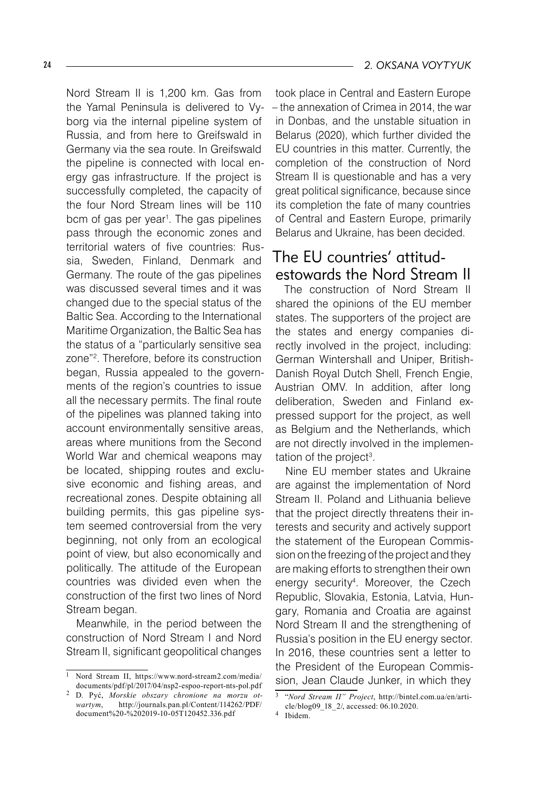Nord Stream II is 1,200 km. Gas from the Yamal Peninsula is delivered to Vyborg via the internal pipeline system of Russia, and from here to Greifswald in Germany via the sea route. In Greifswald the pipeline is connected with local energy gas infrastructure. If the project is successfully completed, the capacity of the four Nord Stream lines will be 110 bcm of gas per year<sup>1</sup>. The gas pipelines pass through the economic zones and territorial waters of five countries: Russia, Sweden, Finland, Denmark and Germany. The route of the gas pipelines was discussed several times and it was changed due to the special status of the Baltic Sea. According to the International Maritime Organization, the Baltic Sea has the status of a "particularly sensitive sea zone"<sup>2</sup>. Therefore, before its construction began, Russia appealed to the governments of the region's countries to issue all the necessary permits. The final route of the pipelines was planned taking into account environmentally sensitive areas, areas where munitions from the Second World War and chemical weapons may be located, shipping routes and exclusive economic and fishing areas, and recreational zones. Despite obtaining all building permits, this gas pipeline system seemed controversial from the very beginning, not only from an ecological point of view, but also economically and politically. The attitude of the European countries was divided even when the construction of the first two lines of Nord Stream began.

Meanwhile, in the period between the construction of Nord Stream I and Nord Stream II, significant geopolitical changes

took place in Central and Eastern Europe – the annexation of Crimea in 2014, the war in Donbas, and the unstable situation in Belarus (2020), which further divided the EU countries in this matter. Currently, the completion of the construction of Nord Stream II is questionable and has a very great political significance, because since its completion the fate of many countries of Central and Eastern Europe, primarily Belarus and Ukraine, has been decided.

## The EU countries' attitudestowards the Nord Stream II

The construction of Nord Stream II shared the opinions of the EU member states. The supporters of the project are the states and energy companies directly involved in the project, including: German Wintershall and Uniper, British-Danish Royal Dutch Shell, French Engie, Austrian OMV. In addition, after long deliberation, Sweden and Finland expressed support for the project, as well as Belgium and the Netherlands, which are not directly involved in the implementation of the project .

Nine EU member states and Ukraine are against the implementation of Nord Stream II. Poland and Lithuania believe that the project directly threatens their interests and security and actively support the statement of the European Commission on the freezing of the project and they are making efforts to strengthen their own energy security<sup>4</sup>. Moreover, the Czech Republic, Slovakia, Estonia, Latvia, Hungary, Romania and Croatia are against Nord Stream II and the strengthening of Russia's position in the EU energy sector. In 2016, these countries sent a letter to the President of the European Commission, Jean Claude Junker, in which they

Nord Stream II, https://www.nord-stream2.com/media/ documents/pdf/pl/2017/04/nsp2-espoo-report-nts-pol.pdf

D. Pyć, *Morskie obszary chronione na morzu otwartym*, http://journals.pan.pl/Content/114262/PDF/ document%20-%202019-10-05T120452.336.pdf

<sup>&</sup>quot;*Nord Stream II" Project*, http://bintel.com.ua/en/article/blog09\_18\_2/, accessed: 06.10.2020.

<sup>&</sup>lt;sup>4</sup> Ibidem.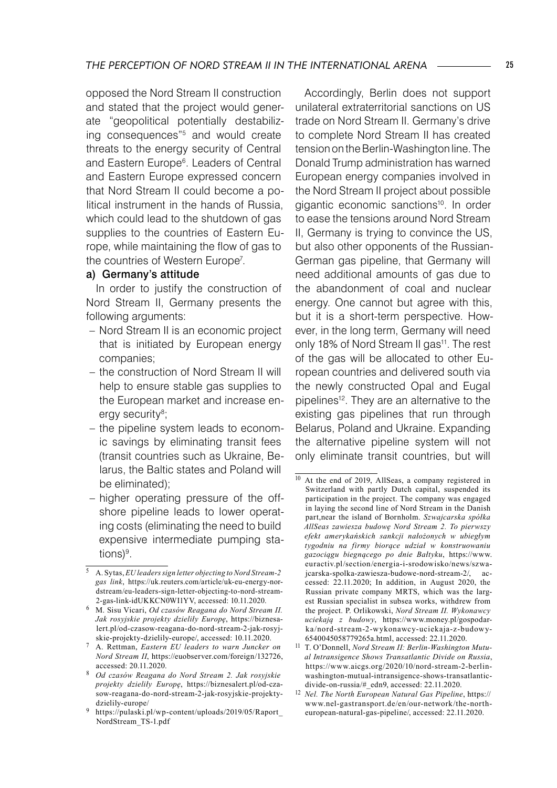opposed the Nord Stream II construction and stated that the project would generate "geopolitical potentially destabilizing consequences"<sup>5</sup> and would create threats to the energy security of Central and Eastern Europe<sup>6</sup>. Leaders of Central and Eastern Europe expressed concern that Nord Stream II could become a political instrument in the hands of Russia, which could lead to the shutdown of gas supplies to the countries of Eastern Europe, while maintaining the flow of gas to the countries of Western Europe .

#### a) Germany's attitude

In order to justify the construction of Nord Stream II, Germany presents the following arguments:

- Nord Stream II is an economic project that is initiated by European energy companies;
- the construction of Nord Stream II will help to ensure stable gas supplies to the European market and increase energy security ;
- the pipeline system leads to economic savings by eliminating transit fees (transit countries such as Ukraine, Belarus, the Baltic states and Poland will be eliminated);
- higher operating pressure of the offshore pipeline leads to lower operating costs (eliminating the need to build expensive intermediate pumping stations) .

Accordingly, Berlin does not support unilateral extraterritorial sanctions on US trade on Nord Stream II. Germany's drive to complete Nord Stream II has created tension on the Berlin-Washington line. The Donald Trump administration has warned European energy companies involved in the Nord Stream II project about possible gigantic economic sanctions<sup>10</sup>. In order to ease the tensions around Nord Stream II, Germany is trying to convince the US, but also other opponents of the Russian-German gas pipeline, that Germany will need additional amounts of gas due to the abandonment of coal and nuclear energy. One cannot but agree with this, but it is a short-term perspective. However, in the long term, Germany will need only 18% of Nord Stream II gas<sup>11</sup>. The rest of the gas will be allocated to other European countries and delivered south via the newly constructed Opal and Eugal pipelines<sup>12</sup>. They are an alternative to the existing gas pipelines that run through Belarus, Poland and Ukraine. Expanding the alternative pipeline system will not only eliminate transit countries, but will

A. Sytas, *EU leaders sign letter objecting to Nord Stream-2 gas link*, https://uk.reuters.com/article/uk-eu-energy-nordstream/eu-leaders-sign-letter-objecting-to-nord-stream-2-gas-link-idUKKCN0WI1YV, accessed: 10.11.2020.

M. Sisu Vicari, *Od czasów Reagana do Nord Stream II. Jak rosyjskie projekty dzieliły Europę*, https://biznesalert.pl/od-czasow-reagana-do-nord-stream-2-jak-rosyjskie-projekty-dzielily-europe/, accessed: 10.11.2020.

A. Rettman, *Eastern EU leaders to warn Juncker on Nord Stream II*, https://euobserver.com/foreign/132726, accessed: 20.11.2020.

*Od czasów Reagana do Nord Stream 2. Jak rosyjskie projekty dzieliły Europę*, https://biznesalert.pl/od-czasow-reagana-do-nord-stream-2-jak-rosyjskie-projektydzielily-europe/

https://pulaski.pl/wp-content/uploads/2019/05/Raport\_ NordStream\_TS-1.pdf

<sup>&</sup>lt;sup>10</sup> At the end of 2019, AllSeas, a company registered in Switzerland with partly Dutch capital, suspended its participation in the project. The company was engaged in laying the second line of Nord Stream in the Danish part,near the island of Bornholm. *Szwajcarska spółka AllSeas zawiesza budowę Nord Stream 2. To pierwszy efekt amerykańskich sankcji nałożonych w ubiegłym tygodniu na firmy biorące udział w konstruowaniu gazociągu biegnącego po dnie Bałtyku*, https://www. euractiv.pl/section/energia-i-srodowisko/news/szwajcarska-spolka-zawiesza-budowe-nord-stream-2/, accessed: 22.11.2020; In addition, in August 2020, the Russian private company MRTS, which was the largest Russian specialist in subsea works, withdrew from the project. P. Orlikowski, *Nord Stream II. Wykonawcy uciekają z budowy*, https://www.money.pl/gospodarka/nord-stream-2-wykonawcy-uciekaja-z-budowy-6540045058779265a.html, accessed: 22.11.2020.

<sup>11</sup> T. O'Donnell, *Nord Stream II: Berlin-Washington Mutual Intransigence Shows Transatlantic Divide on Russia*, https://www.aicgs.org/2020/10/nord-stream-2-berlinwashington-mutual-intransigence-shows-transatlanticdivide-on-russia/#\_edn9, accessed: 22.11.2020.

<sup>12</sup> *Nel. The North European Natural Gas Pipeline*, https:// www.nel-gastransport.de/en/our-network/the-northeuropean-natural-gas-pipeline/, accessed: 22.11.2020.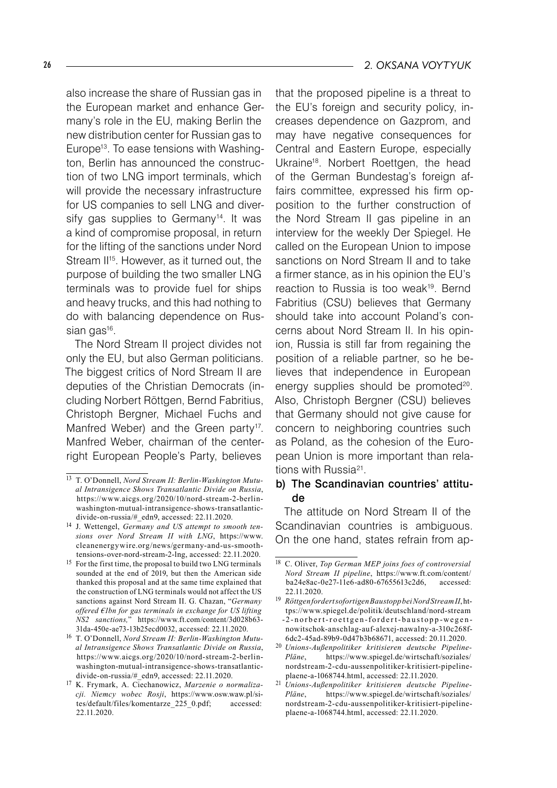also increase the share of Russian gas in the European market and enhance Germany's role in the EU, making Berlin the new distribution center for Russian gas to Europe13 . To ease tensions with Washington, Berlin has announced the construction of two LNG import terminals, which will provide the necessary infrastructure for US companies to sell LNG and diversify gas supplies to Germany<sup>14</sup>. It was a kind of compromise proposal, in return for the lifting of the sanctions under Nord Stream II<sup>15</sup>. However, as it turned out, the purpose of building the two smaller LNG terminals was to provide fuel for ships and heavy trucks, and this had nothing to do with balancing dependence on Russian gas<sup>16</sup>.

The Nord Stream II project divides not only the EU, but also German politicians. The biggest critics of Nord Stream II are deputies of the Christian Democrats (including Norbert Röttgen, Bernd Fabritius, Christoph Bergner, Michael Fuchs and Manfred Weber) and the Green party<sup>17</sup>. Manfred Weber, chairman of the centerright European People's Party, believes

that the proposed pipeline is a threat to the EU's foreign and security policy, increases dependence on Gazprom, and may have negative consequences for Central and Eastern Europe, especially Ukraine18 . Norbert Roettgen, the head of the German Bundestag's foreign affairs committee, expressed his firm opposition to the further construction of the Nord Stream II gas pipeline in an interview for the weekly Der Spiegel. He called on the European Union to impose sanctions on Nord Stream II and to take a firmer stance, as in his opinion the EU's reaction to Russia is too weak<sup>19</sup>. Bernd Fabritius (CSU) believes that Germany should take into account Poland's concerns about Nord Stream II. In his opinion, Russia is still far from regaining the position of a reliable partner, so he believes that independence in European energy supplies should be promoted<sup>20</sup>. Also, Christoph Bergner (CSU) believes that Germany should not give cause for concern to neighboring countries such as Poland, as the cohesion of the European Union is more important than relations with Russia<sup>21</sup>.

#### b) The Scandinavian countries' attitude

The attitude on Nord Stream II of the Scandinavian countries is ambiguous. On the one hand, states refrain from ap-

<sup>13</sup> T. O'Donnell, *Nord Stream II: Berlin-Washington Mutual Intransigence Shows Transatlantic Divide on Russia*, https://www.aicgs.org/2020/10/nord-stream-2-berlinwashington-mutual-intransigence-shows-transatlanticdivide-on-russia/#\_edn9, accessed: 22.11.2020.

<sup>14</sup> J. Wettengel, *Germany and US attempt to smooth tensions over Nord Stream II with LNG*, https://www. cleanenergywire.org/news/germany-and-us-smoothtensions-over-nord-stream-2-lng, accessed: 22.11.2020.

<sup>15</sup> For the first time, the proposal to build two LNG terminals sounded at the end of 2019, but then the American side thanked this proposal and at the same time explained that the construction of LNG terminals would not affect the US sanctions against Nord Stream II. G. Chazan, "*Germany offered €1bn for gas terminals in exchange for US lifting NS2 sanctions,*" https://www.ft.com/content/3d028b63- 31da-450e-ae73-13b25ecd0032, accessed: 22.11.2020.

<sup>16</sup> T. O'Donnell, *Nord Stream II: Berlin-Washington Mutual Intransigence Shows Transatlantic Divide on Russia*, https://www.aicgs.org/2020/10/nord-stream-2-berlinwashington-mutual-intransigence-shows-transatlanticdivide-on-russia/#\_edn9, accessed: 22.11.2020.

<sup>17</sup> K. Frymark, A. Ciechanowicz, *Marzenie o normalizacji. Niemcy wobec Rosji*, https://www.osw.waw.pl/sites/default/files/komentarze\_225\_0.pdf; accessed: 22.11.2020.

<sup>18</sup> C. Oliver, *Top German MEP joins foes of controversial Nord Stream II pipeline*, https://www.ft.com/content/ ba24e8ac-0e27-11e6-ad80-67655613c2d6, accessed: 22.11.2020.

<sup>19</sup> *Röttgen fordert sofortigen Baustopp bei Nord Stream II*,https://www.spiegel.de/politik/deutschland/nord-stream -2-n or b ert-roettgen-fordert-baustopp-wegennowitschok-anschlag-auf-alexej-nawalny-a-310c268f-6dc2-45ad-89b9-0d47b3b68671, accessed: 20.11.2020.

<sup>20</sup> *Unions-Außenpolitiker kritisieren deutsche Pipeline-Pläne*, https://www.spiegel.de/wirtschaft/soziales/ nordstream-2-cdu-aussenpolitiker-kritisiert-pipelineplaene-a-1068744.html, accessed: 22.11.2020.

<sup>21</sup> *Unions-Außenpolitiker kritisieren deutsche Pipeline-Pläne*, https://www.spiegel.de/wirtschaft/soziales/ nordstream-2-cdu-aussenpolitiker-kritisiert-pipelineplaene-a-1068744.html, accessed: 22.11.2020.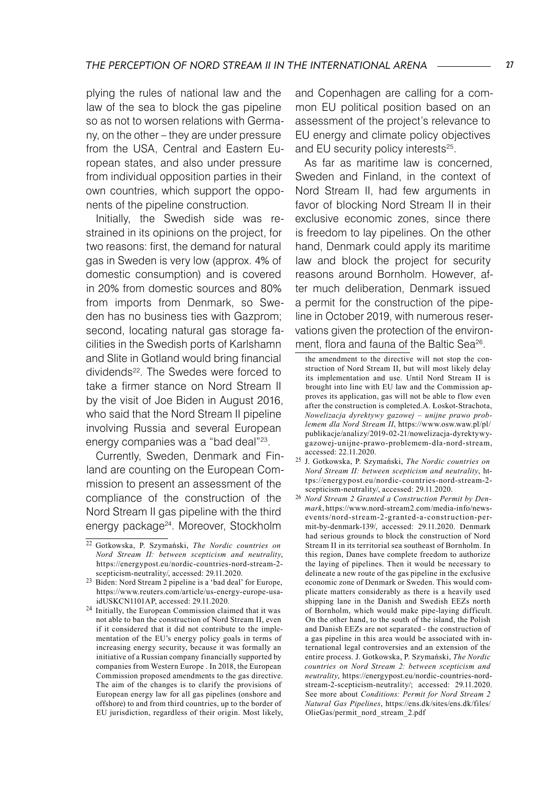plying the rules of national law and the law of the sea to block the gas pipeline so as not to worsen relations with Germany, on the other – they are under pressure from the USA, Central and Eastern European states, and also under pressure from individual opposition parties in their own countries, which support the opponents of the pipeline construction.

Initially, the Swedish side was restrained in its opinions on the project, for two reasons: first, the demand for natural gas in Sweden is very low (approx. 4% of domestic consumption) and is covered in 20% from domestic sources and 80% from imports from Denmark, so Sweden has no business ties with Gazprom; second, locating natural gas storage facilities in the Swedish ports of Karlshamn and Slite in Gotland would bring financial dividends<sup>22</sup>. The Swedes were forced to take a firmer stance on Nord Stream II by the visit of Joe Biden in August 2016, who said that the Nord Stream II pipeline involving Russia and several European energy companies was a "bad deal"<sup>23</sup>.

Currently, Sweden, Denmark and Finland are counting on the European Commission to present an assessment of the compliance of the construction of the Nord Stream II gas pipeline with the third energy package<sup>24</sup>. Moreover, Stockholm

and Copenhagen are calling for a common EU political position based on an assessment of the project's relevance to EU energy and climate policy objectives and EU security policy interests<sup>25</sup>.

As far as maritime law is concerned, Sweden and Finland, in the context of Nord Stream II, had few arguments in favor of blocking Nord Stream II in their exclusive economic zones, since there is freedom to lay pipelines. On the other hand, Denmark could apply its maritime law and block the project for security reasons around Bornholm. However, after much deliberation, Denmark issued a permit for the construction of the pipeline in October 2019, with numerous reservations given the protection of the environment, flora and fauna of the Baltic Sea<sup>26</sup>.

the amendment to the directive will not stop the construction of Nord Stream II, but will most likely delay its implementation and use. Until Nord Stream II is brought into line with EU law and the Commission approves its application, gas will not be able to flow even after the construction is completed.A. Łoskot-Strachota, *Nowelizacja dyrektywy gazowej – unijne prawo problemem dla Nord Stream II*, https://www.osw.waw.pl/pl/ publikacje/analizy/2019-02-21/nowelizacja-dyrektywygazowej-unijne-prawo-problemem-dla-nord-stream, accessed: 22.11.2020.

- <sup>25</sup> J. Gotkowska, P. Szymański, *The Nordic countries on Nord Stream II: between scepticism and neutrality*, https://energypost.eu/nordic-countries-nord-stream-2 scepticism-neutrality/, accessed: 29.11.2020.
- <sup>26</sup> *Nord Stream 2 Granted a Construction Permit by Denmark*, https://www.nord-stream2.com/media-info/newsevents/nord-stream-2-granted-a-construction-permit-by-denmark-139/, accessed: 29.11.2020. Denmark had serious grounds to block the construction of Nord Stream II in its territorial sea southeast of Bornholm. In this region, Danes have complete freedom to authorize the laying of pipelines. Then it would be necessary to delineate a new route of the gas pipeline in the exclusive economic zone of Denmark or Sweden. This would complicate matters considerably as there is a heavily used shipping lane in the Danish and Swedish EEZs north of Bornholm, which would make pipe-laying difficult. On the other hand, to the south of the island, the Polish and Danish EEZs are not separated - the construction of a gas pipeline in this area would be associated with international legal controversies and an extension of the entire process. J. Gotkowska, P. Szymański, *The Nordic countries on Nord Stream 2: between scepticism and neutrality*, https://energypost.eu/nordic-countries-nordstream-2-scepticism-neutrality/; accessed: 29.11.2020. See more about *Conditions: Permit for Nord Stream 2 Natural Gas Pipelines*, https://ens.dk/sites/ens.dk/files/ OlieGas/permit\_nord\_stream\_2.pdf

<sup>22</sup> Gotkowska, P. Szymański, *The Nordic countries on Nord Stream II: between scepticism and neutrality*, https://energypost.eu/nordic-countries-nord-stream-2 scepticism-neutrality/, accessed: 29.11.2020.

<sup>23</sup> Biden: Nord Stream 2 pipeline is a 'bad deal' for Europe, https://www.reuters.com/article/us-energy-europe-usaidUSKCN1101AP, accessed: 29.11.2020.

<sup>&</sup>lt;sup>24</sup> Initially, the European Commission claimed that it was not able to ban the construction of Nord Stream II, even if it considered that it did not contribute to the implementation of the EU's energy policy goals in terms of increasing energy security, because it was formally an initiative of a Russian company financially supported by companies from Western Europe . In 2018, the European Commission proposed amendments to the gas directive. The aim of the changes is to clarify the provisions of European energy law for all gas pipelines (onshore and offshore) to and from third countries, up to the border of EU jurisdiction, regardless of their origin. Most likely,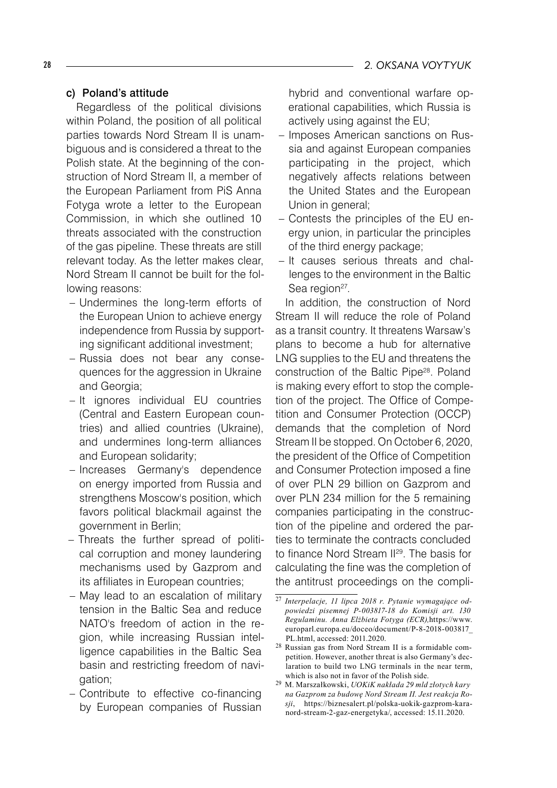#### c) Poland's attitude

Regardless of the political divisions within Poland, the position of all political parties towards Nord Stream II is unambiguous and is considered a threat to the Polish state. At the beginning of the construction of Nord Stream II, a member of the European Parliament from PiS Anna Fotyga wrote a letter to the European Commission, in which she outlined 10 threats associated with the construction of the gas pipeline. These threats are still relevant today. As the letter makes clear, Nord Stream II cannot be built for the following reasons:

- Undermines the long-term efforts of the European Union to achieve energy independence from Russia by supporting significant additional investment;
- Russia does not bear any consequences for the aggression in Ukraine and Georgia;
- It ignores individual EU countries (Central and Eastern European countries) and allied countries (Ukraine), and undermines long-term alliances and European solidarity;
- Increases Germany's dependence on energy imported from Russia and strengthens Moscow's position, which favors political blackmail against the government in Berlin;
- Threats the further spread of political corruption and money laundering mechanisms used by Gazprom and its affiliates in European countries;
- May lead to an escalation of military tension in the Baltic Sea and reduce NATO's freedom of action in the region, while increasing Russian intelligence capabilities in the Baltic Sea basin and restricting freedom of navigation;
- Contribute to effective co-financing by European companies of Russian

hybrid and conventional warfare operational capabilities, which Russia is actively using against the EU;

- Imposes American sanctions on Russia and against European companies participating in the project, which negatively affects relations between the United States and the European Union in general; –
- Contests the principles of the EU en-– ergy union, in particular the principles of the third energy package;
- It causes serious threats and challenges to the environment in the Baltic Sea region<sup>27</sup>.

In addition, the construction of Nord Stream II will reduce the role of Poland as a transit country. It threatens Warsaw's plans to become a hub for alternative LNG supplies to the EU and threatens the construction of the Baltic Pipe<sup>28</sup>. Poland is making every effort to stop the completion of the project. The Office of Competition and Consumer Protection (OCCP) demands that the completion of Nord Stream II be stopped. On October 6, 2020, the president of the Office of Competition and Consumer Protection imposed a fine of over PLN 29 billion on Gazprom and over PLN 234 million for the 5 remaining companies participating in the construction of the pipeline and ordered the parties to terminate the contracts concluded to finance Nord Stream II<sup>29</sup>. The basis for calculating the fine was the completion of the antitrust proceedings on the compli-

<sup>27</sup> *Interpelacje, 11 lipca 2018 r. Pytanie wymagające odpowiedzi pisemnej P-003817-18 do Komisji art. 130 Regulaminu. Anna Elżbieta Fotyga (ECR),*https://www. europarl.europa.eu/doceo/document/P-8-2018-003817\_ PL.html, accessed: 2011.2020.

<sup>28</sup> Russian gas from Nord Stream II is a formidable competition. However, another threat is also Germany's declaration to build two LNG terminals in the near term, which is also not in favor of the Polish side.

<sup>29</sup> M. Marszałkowski, *UOKiK nakłada 29 mld złotych kary na Gazprom za budowę Nord Stream II. Jest reakcja Rosji*, https://biznesalert.pl/polska-uokik-gazprom-karanord-stream-2-gaz-energetyka/, accessed: 15.11.2020.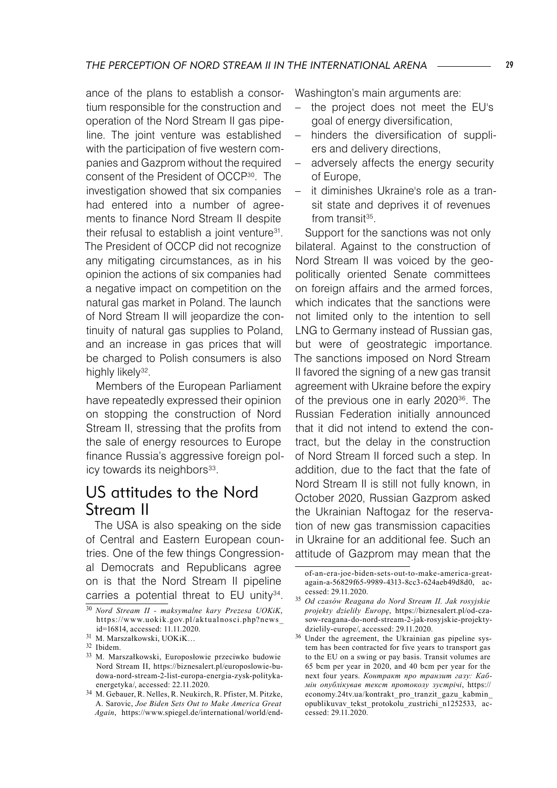ance of the plans to establish a consortium responsible for the construction and operation of the Nord Stream II gas pipeline. The joint venture was established with the participation of five western companies and Gazprom without the required consent of the President of OCCP30 . The investigation showed that six companies had entered into a number of agreements to finance Nord Stream II despite their refusal to establish a joint venture<sup>31</sup>. The President of OCCP did not recognize any mitigating circumstances, as in his opinion the actions of six companies had a negative impact on competition on the natural gas market in Poland. The launch of Nord Stream II will jeopardize the continuity of natural gas supplies to Poland, and an increase in gas prices that will be charged to Polish consumers is also highly likely<sup>32</sup>.

Members of the European Parliament have repeatedly expressed their opinion on stopping the construction of Nord Stream II, stressing that the profits from the sale of energy resources to Europe finance Russia's aggressive foreign policy towards its neighbors<sup>33</sup>.

### US attitudes to the Nord Stream II

The USA is also speaking on the side of Central and Eastern European countries. One of the few things Congressional Democrats and Republicans agree on is that the Nord Stream II pipeline carries a potential threat to  $EU$  unity<sup>34</sup>. Washington's main arguments are:

- the project does not meet the EU's goal of energy diversification,
- hinders the diversification of suppliers and delivery directions,
- adversely affects the energy security of Europe,
- − it diminishes Ukraine's role as a transit state and deprives it of revenues from transit $35$ .

Support for the sanctions was not only bilateral. Against to the construction of Nord Stream II was voiced by the geopolitically oriented Senate committees on foreign affairs and the armed forces, which indicates that the sanctions were not limited only to the intention to sell LNG to Germany instead of Russian gas, but were of geostrategic importance. The sanctions imposed on Nord Stream II favored the signing of a new gas transit agreement with Ukraine before the expiry of the previous one in early 2020<sup>36</sup>. The Russian Federation initially announced that it did not intend to extend the contract, but the delay in the construction of Nord Stream II forced such a step. In addition, due to the fact that the fate of Nord Stream II is still not fully known, in October 2020, Russian Gazprom asked the Ukrainian Naftogaz for the reservation of new gas transmission capacities in Ukraine for an additional fee. Such an attitude of Gazprom may mean that the

<sup>30</sup> *Nord Stream II - maksymalne kary Prezesa UOKiK*, https://www.uokik.gov.pl/aktualnosci.php?news\_ id=16814, accessed: 11.11.2020.

<sup>31</sup> M. Marszałkowski, UOKiK…

<sup>32</sup> Ibidem.

<sup>33</sup> M. Marszałkowski, Europosłowie przeciwko budowie Nord Stream II, https://biznesalert.pl/europoslowie-budowa-nord-stream-2-list-europa-energia-zysk-politykaenergetyka/, accessed: 22.11.2020.

<sup>34</sup> M. Gebauer, R. Nelles, R. Neukirch, R. Pfister, M. Pitzke, A. Sarovic, *Joe Biden Sets Out to Make America Great Again*, https://www.spiegel.de/international/world/end-

of-an-era-joe-biden-sets-out-to-make-america-greatagain-a-56829f65-9989-4313-8cc3-624aeb49d8d0, accessed: 29.11.2020.

<sup>35</sup> *Od czasów Reagana do Nord Stream II. Jak rosyjskie projekty dzieliły Europę*, https://biznesalert.pl/od-czasow-reagana-do-nord-stream-2-jak-rosyjskie-projektydzielily-europe/, accessed: 29.11.2020.

<sup>&</sup>lt;sup>36</sup> Under the agreement, the Ukrainian gas pipeline system has been contracted for five years to transport gas to the EU on a swing or pay basis. Transit volumes are 65 bcm per year in 2020, and 40 bcm per year for the next four years. *Контракт про транзит газу: Кабмін опублікував текст протоколу зустрічі*, https:// economy.24tv.ua/kontrakt\_pro\_tranzit\_gazu\_kabmin\_ opublikuvav\_tekst\_protokolu\_zustrichi\_n1252533, accessed: 29.11.2020.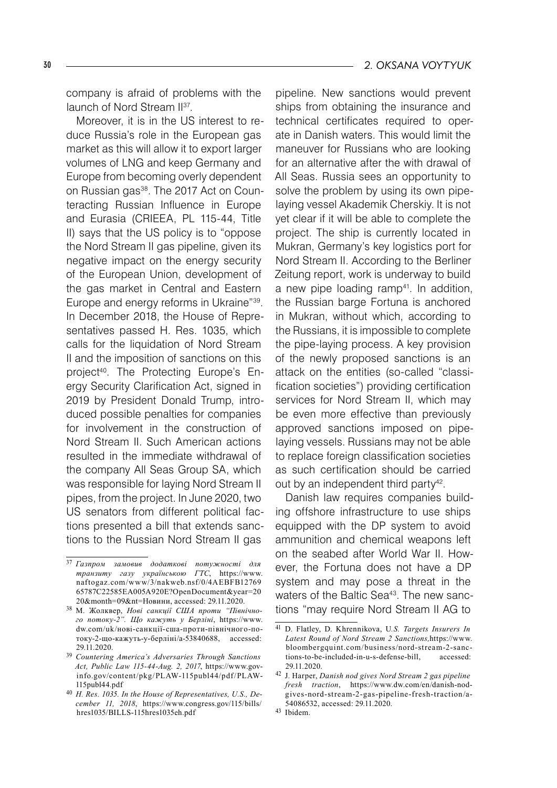#### 30 *2. OKSANA VOYTYUK*

company is afraid of problems with the launch of Nord Stream II<sup>37</sup>.

Moreover, it is in the US interest to reduce Russia's role in the European gas market as this will allow it to export larger volumes of LNG and keep Germany and Europe from becoming overly dependent on Russian gas<sup>38</sup>. The 2017 Act on Counteracting Russian Influence in Europe and Eurasia (CRIEEA, PL 115-44, Title II) says that the US policy is to "oppose the Nord Stream II gas pipeline, given its negative impact on the energy security of the European Union, development of the gas market in Central and Eastern Europe and energy reforms in Ukraine"39. In December 2018, the House of Representatives passed H. Res. 1035, which calls for the liquidation of Nord Stream II and the imposition of sanctions on this project<sup>40</sup>. The Protecting Europe's Energy Security Clarification Act, signed in 2019 by President Donald Trump, introduced possible penalties for companies for involvement in the construction of Nord Stream II. Such American actions resulted in the immediate withdrawal of the company All Seas Group SA, which was responsible for laying Nord Stream II pipes, from the project. In June 2020, two US senators from different political factions presented a bill that extends sanctions to the Russian Nord Stream II gas

pipeline. New sanctions would prevent ships from obtaining the insurance and technical certificates required to operate in Danish waters. This would limit the maneuver for Russians who are looking for an alternative after the with drawal of All Seas. Russia sees an opportunity to solve the problem by using its own pipelaying vessel Akademik Cherskiy. It is not yet clear if it will be able to complete the project. The ship is currently located in Mukran, Germany's key logistics port for Nord Stream II. According to the Berliner Zeitung report, work is underway to build a new pipe loading ramp<sup>41</sup>. In addition, the Russian barge Fortuna is anchored in Mukran, without which, according to the Russians, it is impossible to complete the pipe-laying process. A key provision of the newly proposed sanctions is an attack on the entities (so-called "classification societies") providing certification services for Nord Stream II, which may be even more effective than previously approved sanctions imposed on pipelaying vessels. Russians may not be able to replace foreign classification societies as such certification should be carried out by an independent third party<sup>42</sup>.

Danish law requires companies building offshore infrastructure to use ships equipped with the DP system to avoid ammunition and chemical weapons left on the seabed after World War II. However, the Fortuna does not have a DP system and may pose a threat in the waters of the Baltic Sea<sup>43</sup>. The new sanctions "may require Nord Stream II AG to

<sup>37</sup> *Газпром замовив додаткові потужності для транзиту газу українською ГТС*, https://www. naftogaz.com/www/3/nakweb.nsf/0/4AEBFB12769 65787C22585EA005A920E?OpenDocument&year=20 20&month=09&nt=Новини, accessed: 29.11.2020.

<sup>38</sup> М. Жолквер, *Нові санкції США проти "Північного потоку-2". Що кажуть у Берліні*, https://www. dw.com/uk/нові-санкції-сша-проти-північного-потоку-2-що-кажуть-у-берліні/a-53840688, accessed: 29.11.2020.

<sup>39</sup> *Countering America's Adversaries Through Sanctions Act, Public Law 115-44-Aug. 2, 2017*, https://www.govinfo.gov/content/pkg/PLAW-115publ44/pdf/PLAW- 115publ44.pdf

<sup>40</sup> *H. Res. 1035. In the House of Representatives, U.S., December 11, 2018*, https://www.congress.gov/115/bills/ hres1035/BILLS-115hres1035eh.pdf

<sup>41</sup> D. Flatley, D. Khrennikova, U*.S. Targets Insurers In Latest Round of Nord Stream 2 Sanctions,*https://www. bloombergquint.com/business/nord-stream-2-sanctions-to-be-included-in-u-s-defense-bill, accessed: 29.11.2020.

<sup>42</sup> J. Harper, *Danish nod gives Nord Stream 2 gas pipeline fresh traction*, https://www.dw.com/en/danish-nodgives-nord-stream-2-gas-pipeline-fresh-traction/a-54086532, accessed: 29.11.2020.

<sup>43</sup> Ibidem.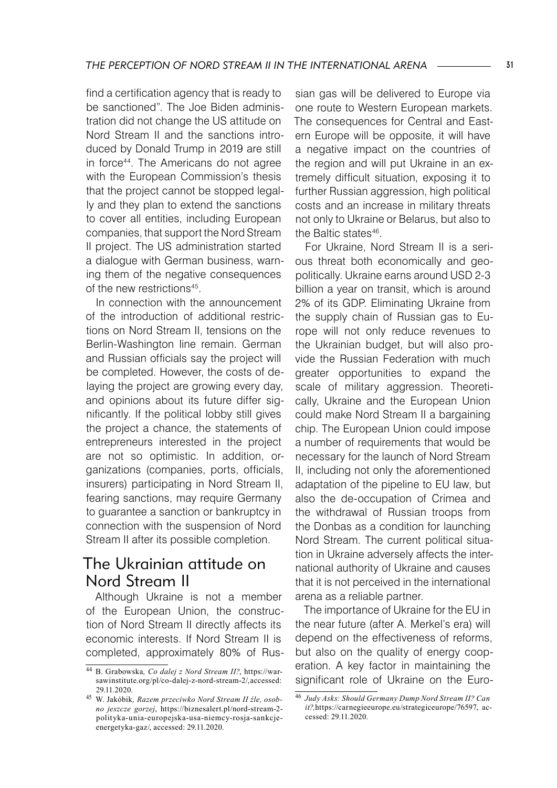find a certification agency that is ready to be sanctioned". The Joe Biden administration did not change the US attitude on Nord Stream II and the sanctions introduced by Donald Trump in 2019 are still in force44. The Americans do not agree with the European Commission's thesis that the project cannot be stopped legally and they plan to extend the sanctions to cover all entities, including European companies, that support the Nord Stream II project. The US administration started a dialogue with German business, warning them of the negative consequences of the new restrictions<sup>45</sup>.

In connection with the announcement of the introduction of additional restrictions on Nord Stream II, tensions on the Berlin-Washington line remain. German and Russian officials say the project will be completed. However, the costs of delaying the project are growing every day, and opinions about its future differ significantly. If the political lobby still gives the project a chance, the statements of entrepreneurs interested in the project are not so optimistic. In addition, organizations (companies, ports, officials, insurers) participating in Nord Stream II, fearing sanctions, may require Germany to guarantee a sanction or bankruptcy in connection with the suspension of Nord Stream II after its possible completion.

### The Ukrainian attitude on Nord Stream II

Although Ukraine is not a member of the European Union, the construction of Nord Stream II directly affects its economic interests. If Nord Stream II is completed, approximately 80% of Russian gas will be delivered to Europe via one route to Western European markets. The consequences for Central and Eastern Europe will be opposite, it will have a negative impact on the countries of the region and will put Ukraine in an extremely difficult situation, exposing it to further Russian aggression, high political costs and an increase in military threats not only to Ukraine or Belarus, but also to the Baltic states<sup>46</sup>.

For Ukraine, Nord Stream II is a serious threat both economically and geopolitically. Ukraine earns around USD 2-3 billion a year on transit, which is around 2% of its GDP. Eliminating Ukraine from the supply chain of Russian gas to Europe will not only reduce revenues to the Ukrainian budget, but will also provide the Russian Federation with much greater opportunities to expand the scale of military aggression. Theoretically, Ukraine and the European Union could make Nord Stream II a bargaining chip. The European Union could impose a number of requirements that would be necessary for the launch of Nord Stream II, including not only the aforementioned adaptation of the pipeline to EU law, but also the de-occupation of Crimea and the withdrawal of Russian troops from the Donbas as a condition for launching Nord Stream. The current political situation in Ukraine adversely affects the international authority of Ukraine and causes that it is not perceived in the international arena as a reliable partner.

The importance of Ukraine for the EU in the near future (after A. Merkel's era) will depend on the effectiveness of reforms, but also on the quality of energy cooperation. A key factor in maintaining the significant role of Ukraine on the Euro-

<sup>44</sup> B. Grabowska*, Co dalej z Nord Stream II?*, https://warsawinstitute.org/pl/co-dalej-z-nord-stream-2/,accessed: 29.11.2020.

<sup>45</sup> W. Jakóbik*, Razem przeciwko Nord Stream II źle, osobno jeszcze gorzej*, https://biznesalert.pl/nord-stream-2 polityka-unia-europejska-usa-niemcy-rosja-sankcjeenergetyka-gaz/, accessed: 29.11.2020.

<sup>46</sup> *Judy Asks: Should Germany Dump Nord Stream II? Can it?,*https://carnegieeurope.eu/strategiceurope/76597, accessed: 29.11.2020.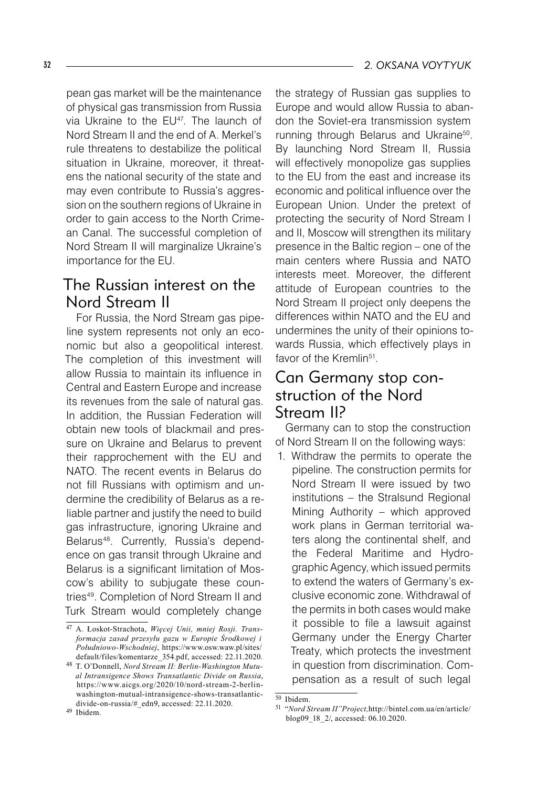pean gas market will be the maintenance of physical gas transmission from Russia via Ukraine to the EU47 . The launch of Nord Stream II and the end of A. Merkel's rule threatens to destabilize the political situation in Ukraine, moreover, it threatens the national security of the state and may even contribute to Russia's aggression on the southern regions of Ukraine in order to gain access to the North Crimean Canal. The successful completion of Nord Stream II will marginalize Ukraine's importance for the EU.

### The Russian interest on the Nord Stream II

For Russia, the Nord Stream gas pipeline system represents not only an economic but also a geopolitical interest. The completion of this investment will allow Russia to maintain its influence in Central and Eastern Europe and increase its revenues from the sale of natural gas. In addition, the Russian Federation will obtain new tools of blackmail and pressure on Ukraine and Belarus to prevent their rapprochement with the EU and NATO. The recent events in Belarus do not fill Russians with optimism and undermine the credibility of Belarus as a reliable partner and justify the need to build gas infrastructure, ignoring Ukraine and Belarus48 . Currently, Russia's dependence on gas transit through Ukraine and Belarus is a significant limitation of Moscow's ability to subjugate these countries49 . Completion of Nord Stream II and Turk Stream would completely change

the strategy of Russian gas supplies to Europe and would allow Russia to abandon the Soviet-era transmission system running through Belarus and Ukraine<sup>50</sup>. By launching Nord Stream II, Russia will effectively monopolize gas supplies to the EU from the east and increase its economic and political influence over the European Union. Under the pretext of protecting the security of Nord Stream I and II, Moscow will strengthen its military presence in the Baltic region – one of the main centers where Russia and NATO interests meet. Moreover, the different attitude of European countries to the Nord Stream II project only deepens the differences within NATO and the EU and undermines the unity of their opinions towards Russia, which effectively plays in favor of the Kremlin<sup>51</sup>.

### Can Germany stop construction of the Nord Stream II?

Germany can to stop the construction of Nord Stream II on the following ways:

1. Withdraw the permits to operate the pipeline. The construction permits for Nord Stream II were issued by two institutions – the Stralsund Regional Mining Authority – which approved work plans in German territorial waters along the continental shelf, and the Federal Maritime and Hydrographic Agency, which issued permits to extend the waters of Germany's exclusive economic zone. Withdrawal of the permits in both cases would make it possible to file a lawsuit against Germany under the Energy Charter Treaty, which protects the investment in question from discrimination. Compensation as a result of such legal

<sup>47</sup> A. Łoskot-Strachota, *Więcej Unii, mniej Rosji. Transformacja zasad przesyłu gazu w Europie Środkowej i Południowo-Wschodniej*, https://www.osw.waw.pl/sites/ default/files/komentarze\_354.pdf, accessed: 22.11.2020.

<sup>48</sup> T. O'Donnell, *Nord Stream II: Berlin-Washington Mutual Intransigence Shows Transatlantic Divide on Russia*, https://www.aicgs.org/2020/10/nord-stream-2-berlinwashington-mutual-intransigence-shows-transatlanticdivide-on-russia/#\_edn9, accessed: 22.11.2020.

<sup>50</sup> Ibidem.

<sup>51 &</sup>quot;*Nord Stream II"Project,*http://bintel.com.ua/en/article/ blog09\_18\_2/, accessed: 06.10.2020.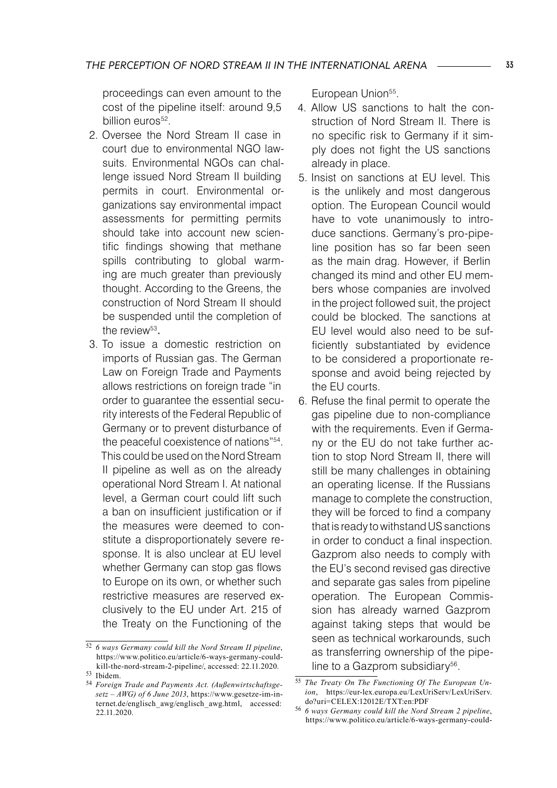proceedings can even amount to the cost of the pipeline itself: around 9,5 billion euros<sup>52</sup>.

- 2. Oversee the Nord Stream II case in court due to environmental NGO lawsuits. Environmental NGOs can challenge issued Nord Stream II building permits in court. Environmental organizations say environmental impact assessments for permitting permits should take into account new scientific findings showing that methane spills contributing to global warming are much greater than previously thought. According to the Greens, the construction of Nord Stream II should be suspended until the completion of the review<sup>53</sup>.
- 3. To issue a domestic restriction on imports of Russian gas. The German Law on Foreign Trade and Payments allows restrictions on foreign trade "in order to guarantee the essential security interests of the Federal Republic of Germany or to prevent disturbance of the peaceful coexistence of nations"54 . This could be used on the Nord Stream II pipeline as well as on the already operational Nord Stream I. At national level, a German court could lift such a ban on insufficient justification or if the measures were deemed to constitute a disproportionately severe response. It is also unclear at EU level whether Germany can stop gas flows to Europe on its own, or whether such restrictive measures are reserved exclusively to the EU under Art. 215 of the Treaty on the Functioning of the

European Union<sup>55</sup>.

- 4. Allow US sanctions to halt the construction of Nord Stream II. There is no specific risk to Germany if it simply does not fight the US sanctions already in place.
- 5. Insist on sanctions at EU level. This is the unlikely and most dangerous option. The European Council would have to vote unanimously to introduce sanctions. Germany's pro-pipeline position has so far been seen as the main drag. However, if Berlin changed its mind and other EU members whose companies are involved in the project followed suit, the project could be blocked. The sanctions at EU level would also need to be sufficiently substantiated by evidence to be considered a proportionate response and avoid being rejected by the EU courts.
- 6. Refuse the final permit to operate the gas pipeline due to non-compliance with the requirements. Even if Germany or the EU do not take further action to stop Nord Stream II, there will still be many challenges in obtaining an operating license. If the Russians manage to complete the construction, they will be forced to find a company that is ready to withstand US sanctions in order to conduct a final inspection. Gazprom also needs to comply with the EU's second revised gas directive and separate gas sales from pipeline operation. The European Commission has already warned Gazprom against taking steps that would be seen as technical workarounds, such as transferring ownership of the pipeline to a Gazprom subsidiary<sup>56</sup>.

<sup>52</sup> *6 ways Germany could kill the Nord Stream II pipeline*, https://www.politico.eu/article/6-ways-germany-couldkill-the-nord-stream-2-pipeline/, accessed: 22.11.2020. 53 Ibidem.

<sup>54</sup> *Foreign Trade and Payments Act. (Außenwirtschaftsgesetz – AWG) of 6 June 2013*, https://www.gesetze-im-internet.de/englisch\_awg/englisch\_awg.html, accessed: 22.11.2020.

<sup>55</sup> *The Treaty On The Functioning Of The European Union*, https://eur-lex.europa.eu/LexUriServ/LexUriServ. do?uri=CELEX:12012E/TXT:en:PDF

<sup>56</sup> *6 ways Germany could kill the Nord Stream 2 pipeline*, https://www.politico.eu/article/6-ways-germany-could-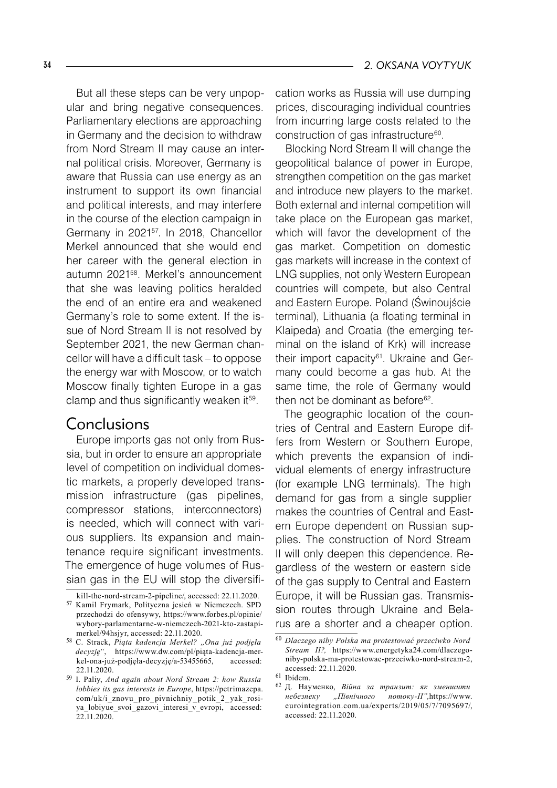But all these steps can be very unpopular and bring negative consequences. Parliamentary elections are approaching in Germany and the decision to withdraw from Nord Stream II may cause an internal political crisis. Moreover, Germany is aware that Russia can use energy as an instrument to support its own financial and political interests, and may interfere in the course of the election campaign in Germany in 202157. In 2018, Chancellor Merkel announced that she would end her career with the general election in autumn 202158. Merkel's announcement that she was leaving politics heralded the end of an entire era and weakened Germany's role to some extent. If the issue of Nord Stream II is not resolved by September 2021, the new German chancellor will have a difficult task – to oppose the energy war with Moscow, or to watch Moscow finally tighten Europe in a gas clamp and thus significantly weaken it<sup>59</sup>.

### Conclusions

Europe imports gas not only from Russia, but in order to ensure an appropriate level of competition on individual domestic markets, a properly developed transmission infrastructure (gas pipelines, compressor stations, interconnectors) is needed, which will connect with various suppliers. Its expansion and maintenance require significant investments. The emergence of huge volumes of Russian gas in the EU will stop the diversification works as Russia will use dumping prices, discouraging individual countries from incurring large costs related to the construction of gas infrastructure<sup>60</sup>.

Blocking Nord Stream II will change the geopolitical balance of power in Europe, strengthen competition on the gas market and introduce new players to the market. Both external and internal competition will take place on the European gas market, which will favor the development of the gas market. Competition on domestic gas markets will increase in the context of LNG supplies, not only Western European countries will compete, but also Central and Eastern Europe. Poland (Świnoujście terminal), Lithuania (a floating terminal in Klaipeda) and Croatia (the emerging terminal on the island of Krk) will increase their import capacity<sup>61</sup>. Ukraine and Germany could become a gas hub. At the same time, the role of Germany would then not be dominant as before $62$ .

The geographic location of the countries of Central and Eastern Europe differs from Western or Southern Europe, which prevents the expansion of individual elements of energy infrastructure (for example LNG terminals). The high demand for gas from a single supplier makes the countries of Central and Eastern Europe dependent on Russian supplies. The construction of Nord Stream II will only deepen this dependence. Regardless of the western or eastern side of the gas supply to Central and Eastern Europe, it will be Russian gas. Transmission routes through Ukraine and Belarus are a shorter and a cheaper option.

kill-the-nord-stream-2-pipeline/, accessed: 22.11.2020. <sup>57</sup> Kamil Frymark, Polityczna jesień w Niemczech. SPD przechodzi do ofensywy, https://www.forbes.pl/opinie/ wybory-parlamentarne-w-niemczech-2021-kto-zastapimerkel/94hsjyr, accessed: 22.11.2020.

<sup>58</sup> C. Strack, *Piąta kadencja Merkel? "Ona już podjęła decyzję"*, https://www.dw.com/pl/piąta-kadencja-merkel-ona-już-podjęła-decyzję/a-53455665, accessed: 22.11.2020.

<sup>59</sup> I. Paliy, *And again about Nord Stream 2: how Russia lobbies its gas interests in Europe*, https://petrimazepa. com/uk/i\_znovu\_pro\_pivnichniy\_potik\_2\_yak\_rosiya\_lobiyue\_svoi\_gazovi\_interesi\_v\_evropi, accessed: 22.11.2020.

<sup>60</sup> *Dlaczego niby Polska ma protestować przeciwko Nord Stream II?,* https://www.energetyka24.com/dlaczegoniby-polska-ma-protestowac-przeciwko-nord-stream-2, accessed: 22.11.2020.

<sup>&</sup>lt;sup>61</sup> Ibidem.

<sup>62</sup> Д. Науменко, *Війна за транзит: як зменшити небезпеку "Північного потоку-II",*https://www. eurointegration.com.ua/experts/2019/05/7/7095697/, accessed: 22.11.2020.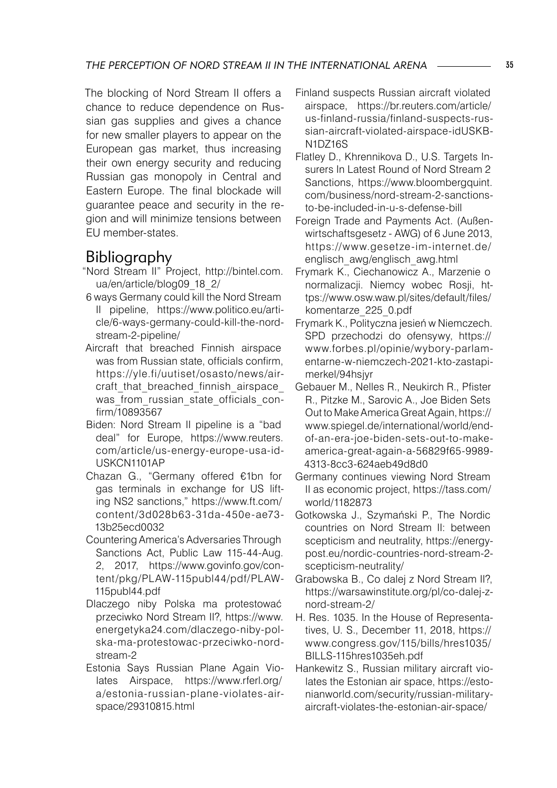The blocking of Nord Stream II offers a chance to reduce dependence on Russian gas supplies and gives a chance for new smaller players to appear on the European gas market, thus increasing their own energy security and reducing Russian gas monopoly in Central and Eastern Europe. The final blockade will guarantee peace and security in the region and will minimize tensions between EU member-states.

# Bibliography

- "Nord Stream II" Project, http://bintel.com. ua/en/article/blog09\_18\_2/
- 6 ways Germany could kill the Nord Stream II pipeline, https://www.politico.eu/article/6-ways-germany-could-kill-the-nordstream-2-pipeline/
- Aircraft that breached Finnish airspace was from Russian state, officials confirm, https://yle.fi/uutiset/osasto/news/aircraft that breached finnish airspace was from russian state officials confirm/10893567
- Biden: Nord Stream II pipeline is a "bad deal" for Europe, https://www.reuters. com/article/us-energy-europe-usa-id-USKCN1101AP
- Chazan G., "Germany offered €1bn for gas terminals in exchange for US lifting NS2 sanctions," https://www.ft.com/ content/3d028b63-31da-450e-ae73- 13b25ecd0032
- Countering America's Adversaries Through Sanctions Act, Public Law 115-44-Aug. 2, 2017, https://www.govinfo.gov/content/pkg/PLAW-115publ44/pdf/PLAW-115publ44.pdf
- Dlaczego niby Polska ma protestować przeciwko Nord Stream II?, https://www. energetyka24.com/dlaczego-niby-polska-ma-protestowac-przeciwko-nordstream-2
- Estonia Says Russian Plane Again Violates Airspace, https://www.rferl.org/ a/estonia-russian-plane-violates-airspace/29310815.html
- Finland suspects Russian aircraft violated airspace, https://br.reuters.com/article/ us-finland-russia/finland-suspects-russian-aircraft-violated-airspace-idUSKB-N1DZ16S
- Flatley D., Khrennikova D., U.S. Targets Insurers In Latest Round of Nord Stream 2 Sanctions, https://www.bloombergquint. com/business/nord-stream-2-sanctionsto-be-included-in-u-s-defense-bill
- Foreign Trade and Payments Act. (Außenwirtschaftsgesetz - AWG) of 6 June 2013, https://www.gesetze-im-internet.de/ englisch\_awg/englisch\_awg.html
- Frymark K., Ciechanowicz A., Marzenie o normalizacji. Niemcy wobec Rosji, https://www.osw.waw.pl/sites/default/files/ komentarze\_225\_0.pdf
- Frymark K., Polityczna jesień w Niemczech. SPD przechodzi do ofensywy, https:// www.forbes.pl/opinie/wybory-parlamentarne-w-niemczech-2021-kto-zastapimerkel/94hsjyr
- Gebauer M., Nelles R., Neukirch R., Pfister R., Pitzke M., Sarovic A., Joe Biden Sets Out to Make America Great Again, https:// www.spiegel.de/international/world/endof-an-era-joe-biden-sets-out-to-makeamerica-great-again-a-56829f65-9989- 4313-8cc3-624aeb49d8d0
- Germany continues viewing Nord Stream II as economic project, https://tass.com/ world/1182873
- Gotkowska J., Szymański P., The Nordic countries on Nord Stream II: between scepticism and neutrality, https://energypost.eu/nordic-countries-nord-stream-2 scepticism-neutrality/
- Grabowska B., Co dalej z Nord Stream II?, https://warsawinstitute.org/pl/co-dalej-znord-stream-2/
- H. Res. 1035. In the House of Representatives, U. S., December 11, 2018, https:// www.congress.gov/115/bills/hres1035/ BILLS-115hres1035eh.pdf
- Hankewitz S., Russian military aircraft violates the Estonian air space, https://estonianworld.com/security/russian-militaryaircraft-violates-the-estonian-air-space/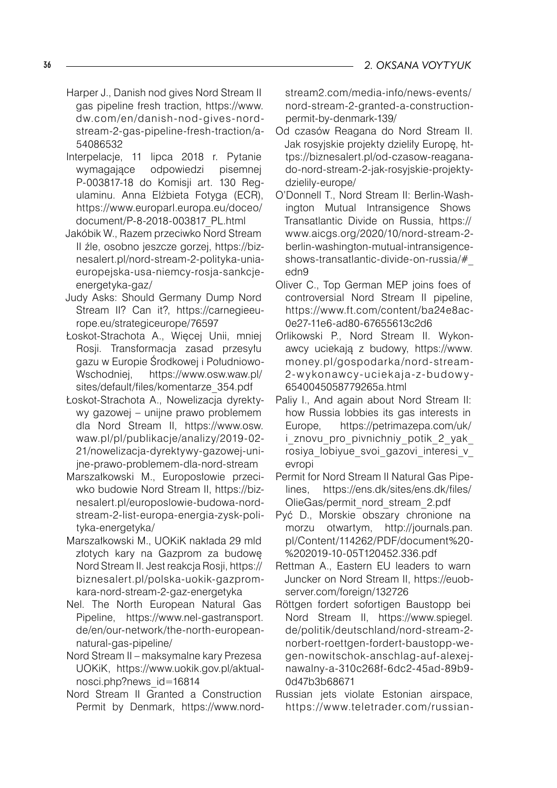- Harper J., Danish nod gives Nord Stream II gas pipeline fresh traction, https://www. dw.com/en/danish-nod-gives-nordstream-2-gas-pipeline-fresh-traction/a- 54086532
- Interpelacje, 11 lipca 2018 r. Pytanie wymagające odpowiedzi pisemnej P-003817-18 do Komisji art. 130 Regulaminu. Anna Elżbieta Fotyga (ECR), https://www.europarl.europa.eu/doceo/ document/P-8-2018-003817\_PL.html
- Jakóbik W., Razem przeciwko Nord Stream II źle, osobno jeszcze gorzej, https://biznesalert.pl/nord-stream-2-polityka-uniaeuropejska-usa-niemcy-rosja-sankcjeenergetyka-gaz/
- Judy Asks: Should Germany Dump Nord Stream II? Can it?, https://carnegieeurope.eu/strategiceurope/76597
- Łoskot-Strachota A., Więcej Unii, mniej Rosji. Transformacja zasad przesyłu gazu w Europie Środkowej i Południowo-Wschodniej, https://www.osw.waw.pl/ sites/default/files/komentarze\_354.pdf
- Łoskot-Strachota A., Nowelizacja dyrektywy gazowej – unijne prawo problemem dla Nord Stream II, https://www.osw. waw.pl/pl/publikacje/analizy/2019-02- 21/nowelizacja-dyrektywy-gazowej-unijne-prawo-problemem-dla-nord-stream
- Marszałkowski M., Europosłowie przeciwko budowie Nord Stream II, https://biznesalert.pl/europoslowie-budowa-nordstream-2-list-europa-energia-zysk-polityka-energetyka/
- Marszałkowski M., UOKiK nakłada 29 mld złotych kary na Gazprom za budowę Nord Stream II. Jest reakcja Rosji, https:// biznesalert.pl/polska-uokik-gazpromkara-nord-stream-2-gaz-energetyka
- Nel. The North European Natural Gas Pipeline, https://www.nel-gastransport. de/en/our-network/the-north-europeannatural-gas-pipeline/
- Nord Stream II maksymalne kary Prezesa UOKiK, https://www.uokik.gov.pl/aktualnosci.php?news\_id=16814
- Nord Stream II Granted a Construction Permit by Denmark, https://www.nord-

stream2.com/media-info/news-events/ nord-stream-2-granted-a-constructionpermit-by-denmark-139/

- Od czasów Reagana do Nord Stream II. Jak rosyjskie projekty dzieliły Europę, https://biznesalert.pl/od-czasow-reaganado-nord-stream-2-jak-rosyjskie-projektydzielily-europe/
- O'Donnell T., Nord Stream II: Berlin-Washington Mutual Intransigence Shows Transatlantic Divide on Russia, https:// www.aicgs.org/2020/10/nord-stream-2 berlin-washington-mutual-intransigenceshows-transatlantic-divide-on-russia/#\_ edn9
- Oliver C., Top German MEP joins foes of controversial Nord Stream II pipeline, https://www.ft.com/content/ba24e8ac-0e27-11e6-ad80-67655613c2d6
- Orlikowski P., Nord Stream II. Wykonawcy uciekają z budowy, https://www. money.pl/gospodarka/nord-stream-2-w ykonawcy- uciekaja-z-budow y-6540045058779265a.html
- Paliy I., And again about Nord Stream II: how Russia lobbies its gas interests in Europe, https://petrimazepa.com/uk/ i znovu pro pivnichniy potik 2 yak rosiya lobiyue svoi gazovi interesi v evropi
- Permit for Nord Stream II Natural Gas Pipelines, https://ens.dk/sites/ens.dk/files/ OlieGas/permit\_nord\_stream\_2.pdf
- Pyć D., Morskie obszary chronione na morzu otwartym, http://journals.pan. pl/Content/114262/PDF/document%20- %202019-10-05T120452.336.pdf
- Rettman A., Eastern EU leaders to warn Juncker on Nord Stream II, https://euobserver.com/foreign/132726
- Röttgen fordert sofortigen Baustopp bei Nord Stream II, https://www.spiegel. de/politik/deutschland/nord-stream-2 norbert-roettgen-fordert-baustopp-wegen-nowitschok-anschlag-auf-alexejnawalny-a-310c268f-6dc2-45ad-89b9- 0d47b3b68671
- Russian jets violate Estonian airspace, https://www.teletrader.com/russian-